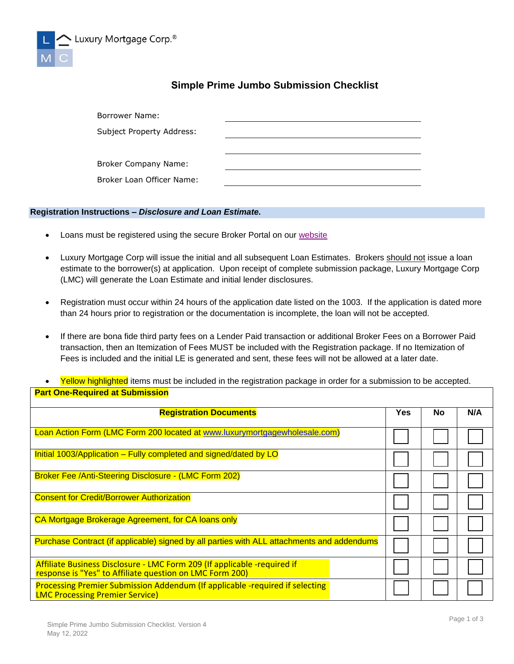

## **Simple Prime Jumbo Submission Checklist**

| Borrower Name:            |  |
|---------------------------|--|
| Subject Property Address: |  |
|                           |  |
| Broker Company Name:      |  |
| Broker Loan Officer Name: |  |

## **Registration Instructions –** *Disclosure and Loan Estimate.*

- Loans must be registered using the secure Broker Portal on our [website](http://www.luxurymortgagewholesale.com/)
- Luxury Mortgage Corp will issue the initial and all subsequent Loan Estimates. Brokers should not issue a loan estimate to the borrower(s) at application. Upon receipt of complete submission package, Luxury Mortgage Corp (LMC) will generate the Loan Estimate and initial lender disclosures.
- Registration must occur within 24 hours of the application date listed on the 1003. If the application is dated more than 24 hours prior to registration or the documentation is incomplete, the loan will not be accepted.
- If there are bona fide third party fees on a Lender Paid transaction or additional Broker Fees on a Borrower Paid transaction, then an Itemization of Fees MUST be included with the Registration package. If no Itemization of Fees is included and the initial LE is generated and sent, these fees will not be allowed at a later date.
- Yellow highlighted items must be included in the registration package in order for a submission to be accepted. **Part One-Required at Submission**

| <b>Registration Documents</b>                                                                                                        |  | No | N/A |
|--------------------------------------------------------------------------------------------------------------------------------------|--|----|-----|
| Loan Action Form (LMC Form 200 located at www.luxurymortgagewholesale.com)                                                           |  |    |     |
| Initial 1003/Application – Fully completed and signed/dated by LO                                                                    |  |    |     |
| Broker Fee /Anti-Steering Disclosure - (LMC Form 202)                                                                                |  |    |     |
| <b>Consent for Credit/Borrower Authorization</b>                                                                                     |  |    |     |
| CA Mortgage Brokerage Agreement, for CA loans only                                                                                   |  |    |     |
| Purchase Contract (if applicable) signed by all parties with ALL attachments and addendums                                           |  |    |     |
| Affiliate Business Disclosure - LMC Form 209 (If applicable -required if<br>response is "Yes" to Affiliate question on LMC Form 200) |  |    |     |
| Processing Premier Submission Addendum (If applicable -required if selecting<br><b>LMC Processing Premier Service)</b>               |  |    |     |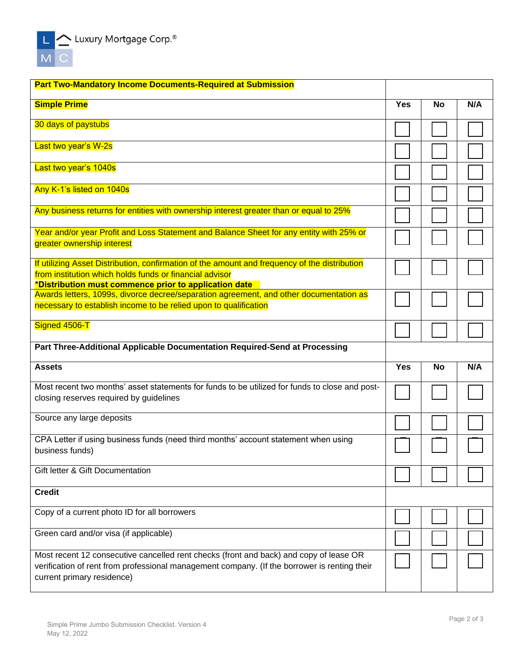

| <b>Part Two-Mandatory Income Documents-Required at Submission</b>                                                                                                                                                    |            |           |     |
|----------------------------------------------------------------------------------------------------------------------------------------------------------------------------------------------------------------------|------------|-----------|-----|
| <b>Simple Prime</b>                                                                                                                                                                                                  | <b>Yes</b> | <b>No</b> | N/A |
| 30 days of paystubs                                                                                                                                                                                                  |            |           |     |
| Last two year's W-2s                                                                                                                                                                                                 |            |           |     |
| Last two year's 1040s                                                                                                                                                                                                |            |           |     |
| Any K-1's listed on 1040s                                                                                                                                                                                            |            |           |     |
| Any business returns for entities with ownership interest greater than or equal to 25%                                                                                                                               |            |           |     |
| Year and/or year Profit and Loss Statement and Balance Sheet for any entity with 25% or<br>greater ownership interest                                                                                                |            |           |     |
| If utilizing Asset Distribution, confirmation of the amount and frequency of the distribution<br>from institution which holds funds or financial advisor<br>*Distribution must commence prior to application date    |            |           |     |
| Awards letters, 1099s, divorce decree/separation agreement, and other documentation as<br>necessary to establish income to be relied upon to qualification                                                           |            |           |     |
| Signed 4506-T                                                                                                                                                                                                        |            |           |     |
| Part Three-Additional Applicable Documentation Required-Send at Processing                                                                                                                                           |            |           |     |
| <b>Assets</b>                                                                                                                                                                                                        | <b>Yes</b> | <b>No</b> | N/A |
| Most recent two months' asset statements for funds to be utilized for funds to close and post-<br>closing reserves required by guidelines                                                                            |            |           |     |
| Source any large deposits                                                                                                                                                                                            |            |           |     |
| CPA Letter if using business funds (need third months' account statement when using<br>business funds)                                                                                                               |            |           |     |
| Gift letter & Gift Documentation                                                                                                                                                                                     |            |           |     |
| <b>Credit</b>                                                                                                                                                                                                        |            |           |     |
| Copy of a current photo ID for all borrowers                                                                                                                                                                         |            |           |     |
| Green card and/or visa (if applicable)                                                                                                                                                                               |            |           |     |
| Most recent 12 consecutive cancelled rent checks (front and back) and copy of lease OR<br>verification of rent from professional management company. (If the borrower is renting their<br>current primary residence) |            |           |     |